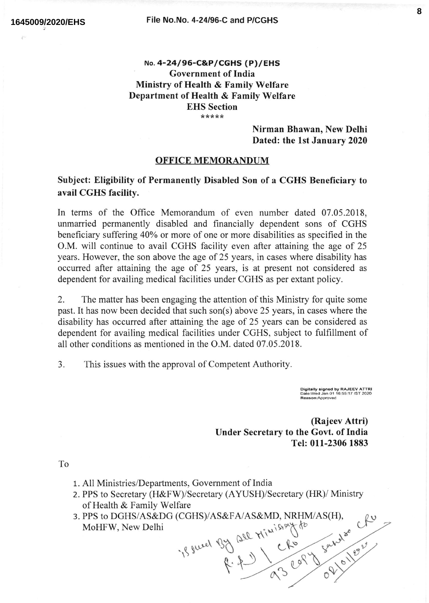## No. 4-24 / 96-C&P/ccHs ( P)/ EHs Government of India Ministry of Health & Family Welfare Department of Health & Family Welfarc EHS Section \*\*\*\*\*

## Nirman Bhawan, New Delhi Dated: the lst January 2020

## OFFICE MEMORANDUM

Subject: Eligibility of Permanently Disabled Son of a CGHS Beneficiary to avail CGHS facility.

In terms of the Office Memorandum of even number dated 07.05.2018, unmarried permanently disabled and financially dependent sons of CGHS beneficiary suffering 40% or more of one or more disabilities as specified in the O.M. will continue to avail CGHS facility even after attaining the age of 25 years. However, the son above the age of 25 years, in cases where disability has occurred after attaining the age of 25 years, is at present not considered as dependent for availing medical facilities under CGHS as per extant policy.

2. The matter has been engaging the attention of this Ministry for quite some past. It has now been decided that such son(s) above 25 years, in cases where the disability has occurred after attaining the age of 25 years can be considered as dependent for availing medical facilities under CGHS, subject to fulfillment of all other conditions as mentioned in the O.M. dated 07.05.2018.

3. This issues with the approval of Competent Authority

Digitally signed by RAJEEV ATTR<br>Date:Wed Jan 01 16:55:17 IST 2020

(Rajeev Attri) Under Secrctary to the Govt. of India Tel: 011-2306 1883

To

- 1. All Ministries/Departments, Government of India
- 2. PPS to Secretary (H&FW)/Secretary (AYUSH)/Secretary (HR)/ Ministry of Health & Family Welfare
- 3. PPS to DGHS/AS&DG (CGHS)/AS&FA/AS&MD, NRHM/AS(H), MoHFW, New Delhi  $A/AS\&MD, NRHM/AS(H),$

 $20l$   $H^{[111399]}$   $\int_0^{\infty}$  $J\left( u\right) = 0.011$  to  $v\left( v\right) = 0.011$ v s\ \qs'a A\ ov  $\circ$